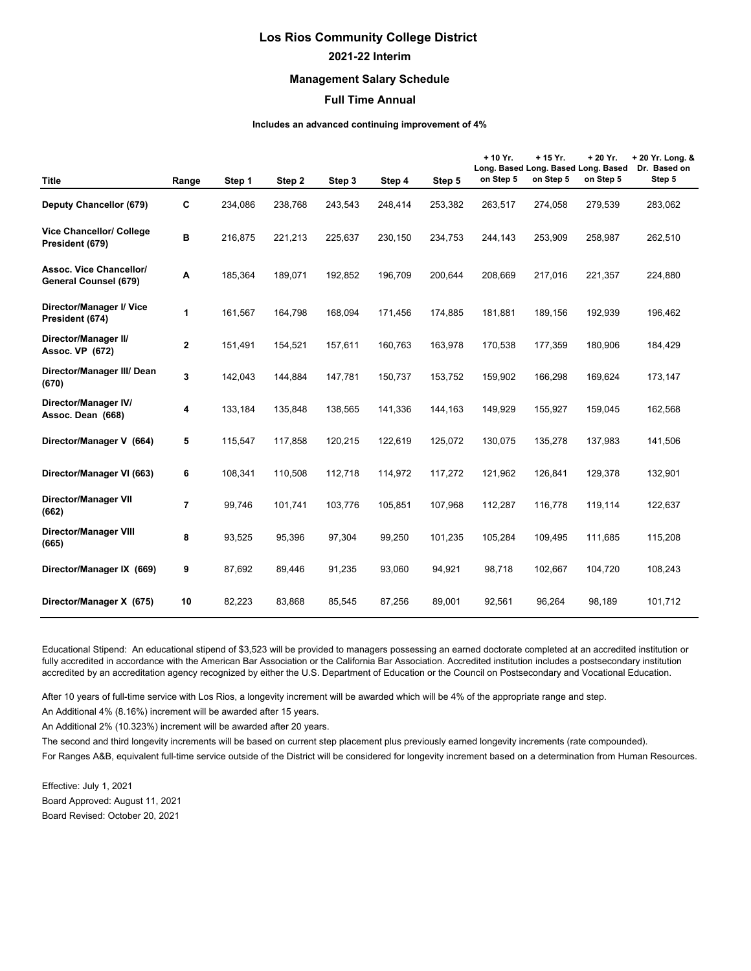## **Los Rios Community College District 2021-22 Interim**

## **Management Salary Schedule**

## **Full Time Annual**

## **Includes an advanced continuing improvement of 4%**

| <b>Title</b>                                     | Range          | Step 1  | Step 2  | Step 3  | Step 4  | Step 5  | + 10 Yr.<br>on Step 5 | $+15$ Yr.<br>Long. Based Long. Based Long. Based<br>on Step 5 | + 20 Yr.<br>on Step 5 | + 20 Yr. Long. &<br>Dr. Based on<br>Step 5 |
|--------------------------------------------------|----------------|---------|---------|---------|---------|---------|-----------------------|---------------------------------------------------------------|-----------------------|--------------------------------------------|
| Deputy Chancellor (679)                          | C              | 234,086 | 238,768 | 243,543 | 248,414 | 253,382 | 263,517               | 274,058                                                       | 279,539               | 283,062                                    |
| Vice Chancellor/ College<br>President (679)      | B              | 216,875 | 221,213 | 225,637 | 230,150 | 234,753 | 244,143               | 253,909                                                       | 258,987               | 262,510                                    |
| Assoc. Vice Chancellor/<br>General Counsel (679) | Α              | 185,364 | 189,071 | 192,852 | 196,709 | 200,644 | 208,669               | 217,016                                                       | 221,357               | 224,880                                    |
| Director/Manager I/ Vice<br>President (674)      | 1              | 161,567 | 164,798 | 168,094 | 171,456 | 174,885 | 181,881               | 189,156                                                       | 192,939               | 196,462                                    |
| Director/Manager II/<br>Assoc. VP (672)          | $\mathbf{2}$   | 151,491 | 154,521 | 157,611 | 160,763 | 163,978 | 170,538               | 177,359                                                       | 180,906               | 184,429                                    |
| Director/Manager III/ Dean<br>(670)              | 3              | 142,043 | 144,884 | 147,781 | 150,737 | 153,752 | 159,902               | 166,298                                                       | 169,624               | 173,147                                    |
| Director/Manager IV/<br>Assoc. Dean (668)        | 4              | 133,184 | 135,848 | 138,565 | 141,336 | 144,163 | 149,929               | 155,927                                                       | 159,045               | 162,568                                    |
| Director/Manager V (664)                         | 5              | 115,547 | 117,858 | 120,215 | 122,619 | 125,072 | 130,075               | 135,278                                                       | 137,983               | 141,506                                    |
| Director/Manager VI (663)                        | 6              | 108,341 | 110,508 | 112,718 | 114,972 | 117,272 | 121,962               | 126,841                                                       | 129,378               | 132,901                                    |
| Director/Manager VII<br>(662)                    | $\overline{7}$ | 99,746  | 101,741 | 103,776 | 105,851 | 107,968 | 112,287               | 116,778                                                       | 119,114               | 122,637                                    |
| <b>Director/Manager VIII</b><br>(665)            | 8              | 93,525  | 95,396  | 97,304  | 99,250  | 101,235 | 105,284               | 109,495                                                       | 111,685               | 115,208                                    |
| Director/Manager IX (669)                        | 9              | 87,692  | 89,446  | 91,235  | 93,060  | 94,921  | 98,718                | 102,667                                                       | 104,720               | 108,243                                    |
| Director/Manager X (675)                         | 10             | 82,223  | 83,868  | 85,545  | 87,256  | 89,001  | 92,561                | 96,264                                                        | 98,189                | 101,712                                    |

Educational Stipend: An educational stipend of \$3,523 will be provided to managers possessing an earned doctorate completed at an accredited institution or fully accredited in accordance with the American Bar Association or the California Bar Association. Accredited institution includes a postsecondary institution accredited by an accreditation agency recognized by either the U.S. Department of Education or the Council on Postsecondary and Vocational Education.

After 10 years of full-time service with Los Rios, a longevity increment will be awarded which will be 4% of the appropriate range and step.

An Additional 4% (8.16%) increment will be awarded after 15 years.

An Additional 2% (10.323%) increment will be awarded after 20 years.

The second and third longevity increments will be based on current step placement plus previously earned longevity increments (rate compounded).

For Ranges A&B, equivalent full-time service outside of the District will be considered for longevity increment based on a determination from Human Resources.

Effective: July 1, 2021 Board Approved: August 11, 2021 Board Revised: October 20, 2021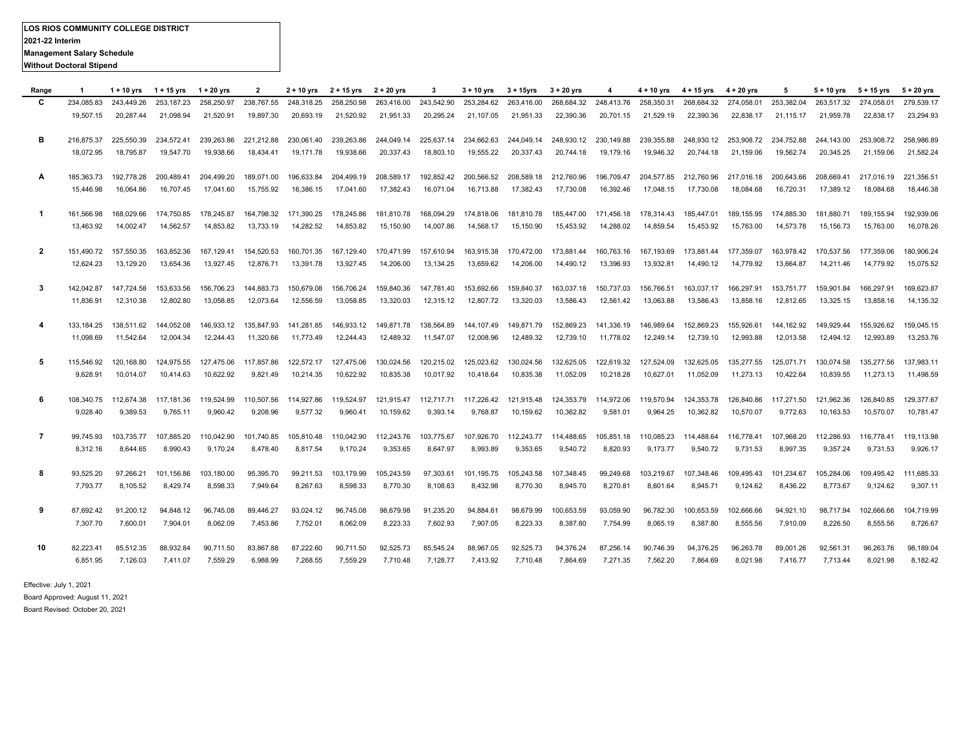| Range        | -1         | $1 + 10$ yrs | 1 + 15 yrs | 1 + 20 yrs | $\overline{2}$ | $2 + 10$ yrs | 2 + 15 yrs | $2 + 20$ yrs | 3          | $3 + 10$ yrs          | $3 + 15$ yrs | $3 + 20$ yrs          | 4          | $4 + 10$ yrs | 4 + 15 yrs | $4 + 20$ yrs                     | 5          | $5 + 10$ yrs | $5 + 15$ yrs | $5 + 20$ yrs |
|--------------|------------|--------------|------------|------------|----------------|--------------|------------|--------------|------------|-----------------------|--------------|-----------------------|------------|--------------|------------|----------------------------------|------------|--------------|--------------|--------------|
| C            | 234.085.83 | 243.449.26   | 253.187.23 | 258,250.97 | 238.767.55     | 248.318.25   | 258.250.98 | 263,416.00   | 243.542.90 | 253.284.62            | 263.416.00   | 268.684.32            | 248,413.76 | 258.350.31   | 268.684.32 | 274.058.01                       | 253,382.04 | 263.517.32   | 274.058.01   | 279,539.17   |
|              | 19,507.15  | 20,287.44    | 21,098.94  | 21,520.91  | 19,897.30      | 20,693.19    | 21,520.92  | 21,951.33    | 20,295.24  | 21,107.05             | 21,951.33    | 22,390.36             | 20,701.15  | 21,529.19    | 22,390.36  | 22,838.17                        | 21,115.17  | 21,959.78    | 22,838.17    | 23,294.93    |
|              |            |              |            |            |                |              |            |              |            |                       |              |                       |            |              |            |                                  |            |              |              |              |
| в            | 216.875.37 | 225.550.39   | 234,572.41 | 239.263.86 | 221.212.88     | 230.061.40   | 239,263.86 | 244,049.14   |            | 225,637.14 234,662.63 |              | 244,049.14 248,930.12 | 230,149.88 | 239,355.88   |            | 248.930.12 253.908.72 234.752.88 |            | 244.143.00   | 253.908.72   | 258.986.89   |
|              | 18.072.95  | 18,795.87    | 19,547.70  | 19,938.66  | 18.434.41      | 19.171.78    | 19,938.66  | 20,337.43    | 18,803.10  | 19,555.22             | 20,337.43    | 20,744.18             | 19,179.16  | 19,946.32    | 20.744.18  | 21,159.06                        | 19,562.74  | 20,345.25    | 21,159.06    | 21,582.24    |
|              |            |              |            |            |                |              |            |              |            |                       |              |                       |            |              |            |                                  |            |              |              |              |
| A            | 185,363.73 | 192,778.28   | 200,489.41 | 204,499.20 | 189,071.00     | 196.633.84   | 204.499.19 | 208,589.17   |            | 192,852.42 200,566.52 | 208,589.18   | 212,760.96            | 196,709.47 | 204,577.85   | 212,760.96 | 217,016.18                       | 200,643.66 | 208.669.41   | 217.016.19   | 221,356.51   |
|              | 15,446.98  | 16,064.86    | 16,707.45  | 17,041.60  | 15,755.92      | 16,386.15    | 17,041.60  | 17,382.43    | 16,071.04  | 16,713.88             | 17,382.43    | 17,730.08             | 16,392.46  | 17,048.15    | 17,730.08  | 18,084.68                        | 16,720.31  | 17,389.12    | 18,084.68    | 18,446.38    |
|              |            |              |            |            |                |              |            |              |            |                       |              |                       |            |              |            |                                  |            |              |              |              |
| -1           | 161.566.98 | 168.029.66   | 174.750.85 | 178.245.87 | 164.798.32     | 171.390.25   | 178,245.86 | 181,810.78   |            | 168,094.29 174,818.06 | 181,810.78   | 185,447.00            | 171,456.18 | 178,314.43   | 185.447.01 | 189.155.95                       | 174.885.30 | 181.880.71   | 189.155.94   | 192,939.06   |
|              | 13,463.92  | 14,002.47    | 14,562.57  | 14,853.82  | 13,733.19      | 14,282.52    | 14,853.82  | 15,150.90    | 14,007.86  | 14,568.17             | 15,150.90    | 15,453.92             | 14,288.02  | 14,859.54    | 15,453.92  | 15,763.00                        | 14,573.78  | 15,156.73    | 15,763.00    | 16,078.26    |
|              |            |              |            |            |                |              |            |              |            |                       |              |                       |            |              |            |                                  |            |              |              |              |
| $\mathbf{2}$ | 151.490.72 | 157,550.35   | 163,852.36 | 167,129.41 | 154,520.53     | 160,701.35   | 167,129.40 | 170,471.99   | 157,610.94 | 163,915.38            | 170,472.00   | 173,881.44            | 160,763.16 | 167,193.69   |            | 173,881.44 177,359.07            | 163,978.42 | 170,537.56   | 177,359.06   | 180,906.24   |
|              | 12.624.23  | 13.129.20    | 13.654.36  | 13.927.45  | 12.876.71      | 13.391.78    | 13.927.45  | 14,206.00    | 13,134.25  | 13.659.62             | 14,206.00    | 14,490.12             | 13.396.93  | 13.932.81    | 14.490.12  | 14.779.92                        | 13.664.87  | 14.211.46    | 14.779.92    | 15.075.52    |
|              |            |              |            |            |                |              |            |              |            |                       |              |                       |            |              |            |                                  |            |              |              |              |
| 3            | 142,042.87 | 147,724.58   | 153,633.56 | 156,706.23 | 144,883.73     | 150,679.08   | 156,706.24 | 159,840.36   | 147,781.40 | 153,692.66            | 159,840.37   | 163,037.18            | 150,737.03 | 156,766.51   | 163,037.17 | 166,297.91                       | 153,751.77 | 159,901.84   | 166,297.91   | 169,623.87   |
|              | 11,836.91  | 12,310.38    | 12,802.80  | 13,058.85  | 12,073.64      | 12,556.59    | 13,058.85  | 13,320.03    | 12,315.12  | 12,807.72             | 13,320.03    | 13,586.43             | 12,561.42  | 13,063.88    | 13,586.43  | 13,858.16                        | 12,812.65  | 13,325.15    | 13,858.16    | 14,135.32    |
|              |            |              |            |            |                |              |            |              |            |                       |              |                       |            |              |            |                                  |            |              |              |              |
| 4            | 133.184.25 | 138.511.62   | 144,052.08 | 146,933.12 | 135.847.93     | 141.281.85   | 146,933.12 | 149,871.78   | 138,564.89 | 144,107.49            | 149,871.79   | 152,869.23            | 141,336.19 | 146.989.64   | 152.869.23 | 155.926.61                       | 144.162.92 | 149,929.44   | 155,926.62   | 159,045.15   |
|              | 11.098.69  | 11,542.64    | 12,004.34  | 12,244.43  | 11,320.66      | 11,773.49    | 12,244.43  | 12,489.32    | 11,547.07  | 12,008.96             | 12,489.32    | 12,739.10             | 11,778.02  | 12,249.14    | 12,739.10  | 12,993.88                        | 12,013.58  | 12,494.12    | 12,993.89    | 13,253.76    |
|              |            |              |            |            |                |              |            |              |            |                       |              |                       |            |              |            |                                  |            |              |              |              |
| 5            | 115,546.92 | 120,168.80   | 124,975.55 | 127,475.06 | 117,857.86     | 122,572.17   | 127,475.06 | 130,024.56   | 120,215.02 | 125,023.62            | 130,024.56   | 132,625.05            | 122,619.32 | 127,524.09   | 132,625.05 | 135,277.55                       | 125,071.71 | 130,074.58   | 135,277.56   | 137,983.11   |
|              | 9.628.91   | 10,014.07    | 10,414.63  | 10.622.92  | 9.821.49       | 10,214.35    | 10,622.92  | 10,835.38    | 10,017.92  | 10,418.64             | 10,835.38    | 11,052.09             | 10,218.28  | 10,627.01    | 11,052.09  | 11,273.13                        | 10.422.64  | 10.839.55    | 11,273.13    | 11.498.59    |
|              |            |              |            |            |                |              |            |              |            |                       |              |                       |            |              |            |                                  |            |              |              |              |
| -6           | 108.340.75 | 112.674.38   | 117.181.36 | 119,524.99 | 110.507.56     | 114.927.86   | 119,524.97 | 121,915.47   |            | 112,717.71 117,226.42 | 121,915.48   | 124,353.79            | 114,972.06 | 119,570.94   | 124.353.78 | 126,840.86                       | 117.271.50 | 121,962.36   | 126,840.85   | 129,377.67   |
|              | 9,028.40   | 9,389.53     | 9,765.11   | 9,960.42   | 9,208.96       | 9,577.32     | 9,960.41   | 10,159.62    | 9,393.14   | 9,768.87              | 10,159.62    | 10,362.82             | 9,581.01   | 9,964.25     | 10,362.82  | 10,570.07                        | 9,772.63   | 10,163.53    | 10,570.07    | 10,781.47    |
|              |            |              |            |            |                |              |            |              |            |                       |              |                       |            |              |            |                                  |            |              |              |              |
| 7            | 99.745.93  | 103.735.77   | 107.885.20 | 110.042.90 | 101.740.85     | 105.810.48   | 110.042.90 | 112.243.76   | 103.775.67 | 107.926.70            | 112,243.77   | 114.488.65            | 105.851.18 | 110.085.23   | 114.488.64 | 116,778.41                       | 107.968.20 | 112.286.93   | 116.778.41   | 119,113.98   |
|              | 8,312.16   | 8,644.65     | 8,990.43   | 9,170.24   | 8,478.40       | 8,817.54     | 9,170.24   | 9,353.65     | 8,647.97   | 8,993.89              | 9,353.65     | 9,540.72              | 8,820.93   | 9,173.77     | 9,540.72   | 9,731.53                         | 8,997.35   | 9,357.24     | 9,731.53     | 9,926.17     |
|              |            |              |            |            |                |              |            |              |            |                       |              |                       |            |              |            |                                  |            |              |              |              |
| 8            | 93,525.20  | 97,266.21    | 101,156.86 | 103,180.00 | 95,395.70      | 99,211.53    | 103,179.99 | 105,243.59   | 97,303.61  | 101,195.75            | 105,243.58   | 107,348.45            | 99,249.68  | 103,219.67   | 107,348.46 | 109,495.43                       | 101,234.67 | 105,284.06   | 109,495.42   | 111,685.33   |
|              | 7,793.77   | 8,105.52     | 8,429.74   | 8,598.33   | 7,949.64       | 8,267.63     | 8,598.33   | 8,770.30     | 8,108.63   | 8,432.98              | 8,770.30     | 8,945.70              | 8,270.81   | 8,601.64     | 8,945.71   | 9,124.62                         | 8,436.22   | 8,773.67     | 9,124.62     | 9,307.11     |
|              |            |              |            |            |                |              |            |              |            |                       |              |                       |            |              |            |                                  |            |              |              |              |
| 9            | 87,692.42  | 91,200.12    | 94,848.12  | 96,745.08  | 89,446.27      | 93,024.12    | 96,745.08  | 98,679.98    | 91,235.20  | 94,884.61             | 98.679.99    | 100,653.59            | 93,059.90  | 96,782.30    | 100,653.59 | 102,666.66                       | 94,921.10  | 98,717.94    | 102,666.66   | 104,719.99   |
|              | 7,307.70   | 7,600.01     | 7,904.01   | 8,062.09   | 7,453.86       | 7,752.01     | 8,062.09   | 8,223.33     | 7,602.93   | 7,907.05              | 8,223.33     | 8,387.80              | 7,754.99   | 8,065.19     | 8,387.80   | 8,555.56                         | 7,910.09   | 8,226.50     | 8,555.56     | 8,726.67     |
|              |            |              |            |            |                |              |            |              |            |                       |              |                       |            |              |            |                                  |            |              |              |              |
| 10           | 82,223.41  | 85,512.35    | 88,932.84  | 90,711.50  | 83,867.88      | 87,222.60    | 90,711.50  | 92,525.73    | 85,545.24  | 88,967.05             | 92,525.73    | 94,376.24             | 87,256.14  | 90,746.39    | 94,376.25  | 96,263.78                        | 89,001.26  | 92,561.31    | 96,263.76    | 98,189.04    |
|              | 6,851.95   | 7,126.03     | 7,411.07   | 7,559.29   | 6.988.99       | 7,268.55     | 7,559.29   | 7,710.48     | 7,128.77   | 7,413.92              | 7,710.48     | 7,864.69              | 7,271.35   | 7,562.20     | 7,864.69   | 8,021.98                         | 7,416.77   | 7,713.44     | 8,021.98     | 8,182.42     |
|              |            |              |            |            |                |              |            |              |            |                       |              |                       |            |              |            |                                  |            |              |              |              |
|              |            |              |            |            |                |              |            |              |            |                       |              |                       |            |              |            |                                  |            |              |              |              |

Effective: July 1, 2021 Board Approved: August 11, 2021

Board Revised: October 20, 2021